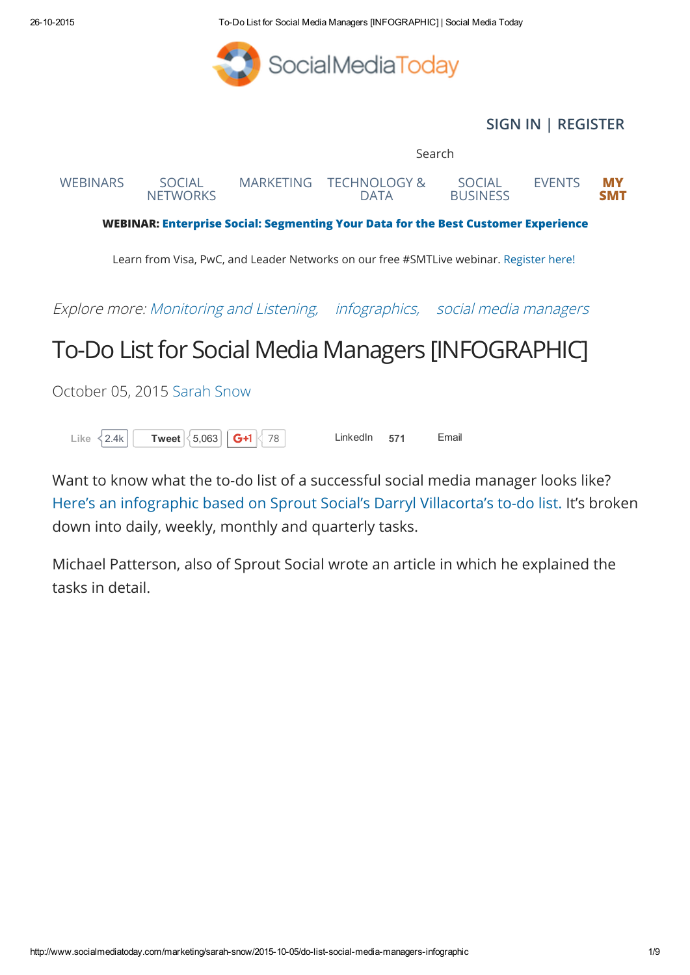26102015 ToDo List for Social Media Managers [INFOGRAPHIC] | Social Media Today



## [SIGN](http://www.socialmediatoday.com/user) IN | [REGISTER](http://www.socialmediatoday.com/user/register)

Search WEBINAR: Enterprise Social: [Segmenting](http://www.socialmediatoday.com/webinar/2015-08-27/enterprise-social-segmenting-your-data-best-customer-experience?reference=SMT_ad) Your Data for the Best Customer Experience Learn from Visa, PwC, and Leader Networks on our free #SMTLive webinar. [Register](http://www.socialmediatoday.com/webinar/2015-08-27/enterprise-social-segmenting-your-data-best-customer-experience?reference=SMT_ad) here! Explore more: [Monitoring](http://www.socialmediatoday.com/tag/monitoring-and-listening) and Listening, [infographics,](http://www.socialmediatoday.com/tags/infographics) social media [managers](http://www.socialmediatoday.com/tags/social-media-managers) To-Do List for Social Media Managers [INFOGRAPHIC] October 05, 2015 [Sarah](http://www.socialmediatoday.com/users/sarah-snow) Snow [WEBINARS](http://www.socialmediatoday.com/webinars?utm_source=http://www.socialmediatoday.com/marketing/sarah-snow/2015-10-05/do-list-social-media-managers-infographic&utm_medium=topmenu&utm_content=webinars&utm_campaign=topmenu) SOCIAL **[NETWORKS](http://www.socialmediatoday.com/categories/social-networks?utm_source=http://www.socialmediatoday.com/marketing/sarah-snow/2015-10-05/do-list-social-media-managers-infographic&utm_medium=topmenu&utm_content=social%2Bnetworks&utm_campaign=topmenu)** [MARKETING](http://www.socialmediatoday.com/categories/marketing?utm_source=http://www.socialmediatoday.com/marketing/sarah-snow/2015-10-05/do-list-social-media-managers-infographic&utm_medium=topmenu&utm_content=marketing&utm_campaign=topmenu) [TECHNOLOGY](http://www.socialmediatoday.com/categories/technology-data?utm_source=http://www.socialmediatoday.com/marketing/sarah-snow/2015-10-05/do-list-social-media-managers-infographic&utm_medium=topmenu&utm_content=technology%2Band%2Bdata&utm_campaign=topmenu) & DATA SOCIAL **[BUSINESS](http://www.socialmediatoday.com/categories/social-business?utm_source=http://www.socialmediatoday.com/marketing/sarah-snow/2015-10-05/do-list-social-media-managers-infographic&utm_medium=topmenu&utm_content=social%2Bbusiness&utm_campaign=topmenu)** [EVENTS](http://socialshakeup.socialmediatoday.com/SMT) MY [SMT](http://www.socialmediatoday.com/my-smt/dashboard)

Like  $\langle 2.4k \vert \vert$  [Tweet](https://twitter.com/intent/tweet?original_referer=http%3A%2F%2Fwww.socialmediatoday.com%2Fmarketing%2Fsarah-snow%2F2015-10-05%2Fdo-list-social-media-managers-infographic&ref_src=twsrc%5Etfw&text=To-Do%20List%20for%20Social%20Media%20Managers%20%5BINFOGRAPHIC%5D&tw_p=tweetbutton&url=http%3A%2F%2Fwww.socialmediatoday.com%2Fmarketing%2Fsarah-snow%2F2015-10-05%2Fdo-list-social-media-managers-infographic)  $\langle 5.063 \vert \vert$  G+1  $\langle 78 \vert \vert$  LinkedIn 571 Email

Want to know what the to-do list of a successful social media manager looks like? Here's an [infographic](http://www.adweek.com/socialtimes/a-complete-checklist-for-social-media-managers-infographic/622615) based on Sprout Social's Darryl Villacorta's to-do list. It's broken down into daily, weekly, monthly and quarterly tasks.

Michael Patterson, also of Sprout Social wrote an article in which he explained the tasks in detail.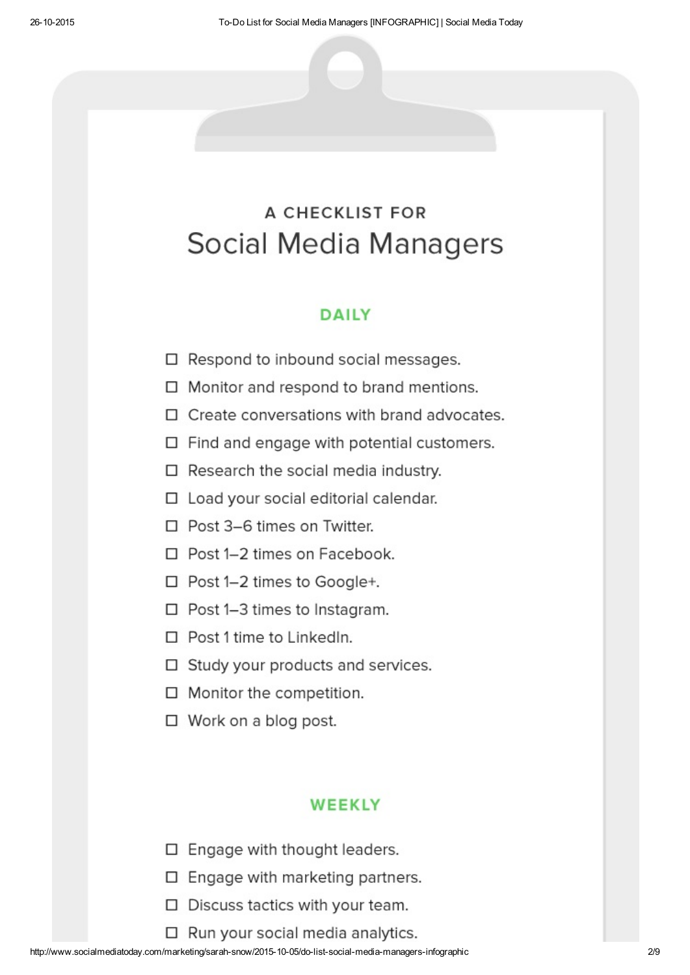# **A CHECKLIST FOR** Social Media Managers

## **DAILY**

- $\Box$  Respond to inbound social messages.
- □ Monitor and respond to brand mentions.
- $\Box$  Create conversations with brand advocates.
- $\Box$  Find and engage with potential customers.
- $\Box$  Research the social media industry.
- □ Load your social editorial calendar.
- □ Post 3-6 times on Twitter.
- $\Box$  Post 1-2 times on Facebook.
- $\Box$  Post 1-2 times to Google+.
- □ Post 1-3 times to Instagram.
- $\Box$  Post 1 time to LinkedIn.
- □ Study your products and services.
- $\Box$  Monitor the competition.
- $\Box$  Work on a blog post.

### **WEEKLY**

- □ Engage with thought leaders.
- $\Box$  Engage with marketing partners.
- □ Discuss tactics with your team.
- $\Box$  Run your social media analytics.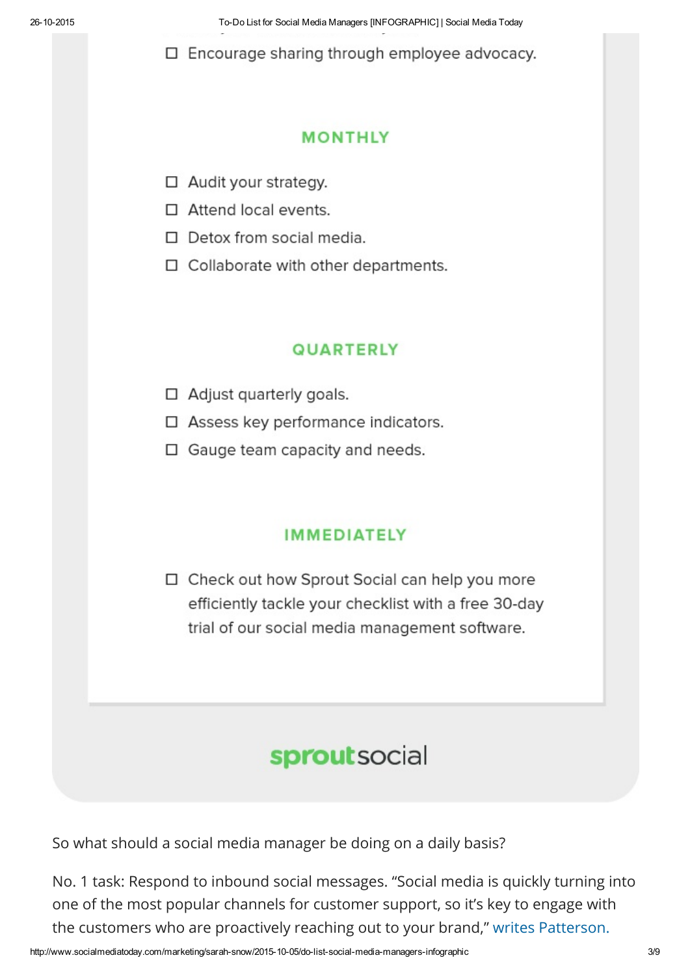26102015 ToDo List for Social Media Managers [INFOGRAPHIC] | Social Media Today

 $\Box$  Encourage sharing through employee advocacy.

## **MONTHLY**

- □ Audit your strategy.
- □ Attend local events.
- $\Box$  Detox from social media.
- $\Box$  Collaborate with other departments.

## **QUARTERLY**

- $\Box$  Adjust quarterly goals.
- □ Assess key performance indicators.
- □ Gauge team capacity and needs.

## **IMMEDIATELY**

□ Check out how Sprout Social can help you more efficiently tackle your checklist with a free 30-day trial of our social media management software.

# sproutsocial

So what should a social media manager be doing on a daily basis?

No. 1 task: Respond to inbound social messages. "Social media is quickly turning into one of the most popular channels for customer support, so it's key to engage with the customers who are proactively reaching out to your brand," writes [Patterson.](http://www.adweek.com/socialtimes/a-complete-checklist-for-social-media-managers-infographic/622615)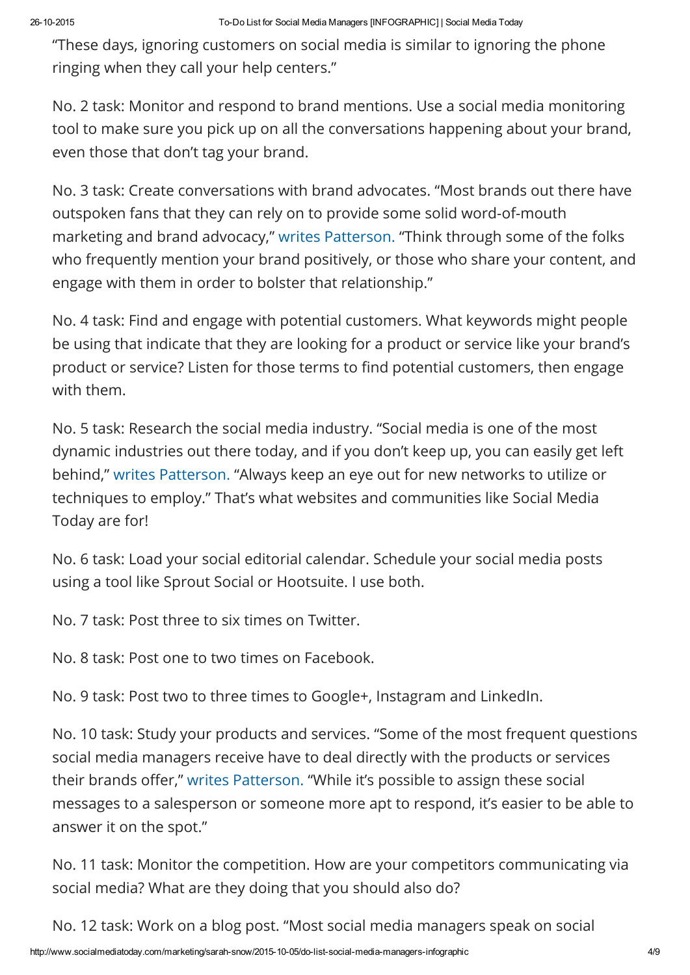"These days, ignoring customers on social media is similar to ignoring the phone ringing when they call your help centers."

No. 2 task: Monitor and respond to brand mentions. Use a social media monitoring tool to make sure you pick up on all the conversations happening about your brand, even those that don't tag your brand.

No. 3 task: Create conversations with brand advocates. "Most brands out there have outspoken fans that they can rely on to provide some solid word-of-mouth marketing and brand advocacy," writes [Patterson.](http://www.adweek.com/socialtimes/a-complete-checklist-for-social-media-managers-infographic/622615) "Think through some of the folks who frequently mention your brand positively, or those who share your content, and engage with them in order to bolster that relationship."

No. 4 task: Find and engage with potential customers. What keywords might people be using that indicate that they are looking for a product or service like your brand's product or service? Listen for those terms to find potential customers, then engage with them.

No. 5 task: Research the social media industry. "Social media is one of the most dynamic industries out there today, and if you don't keep up, you can easily get left behind," writes [Patterson.](http://www.adweek.com/socialtimes/a-complete-checklist-for-social-media-managers-infographic/622615) "Always keep an eye out for new networks to utilize or techniques to employ." That's what websites and communities like Social Media Today are for!

No. 6 task: Load your social editorial calendar. Schedule your social media posts using a tool like Sprout Social or Hootsuite. I use both.

No. 7 task: Post three to six times on Twitter.

No. 8 task: Post one to two times on Facebook.

No. 9 task: Post two to three times to Google+, Instagram and LinkedIn.

No. 10 task: Study your products and services. "Some of the most frequent questions social media managers receive have to deal directly with the products or services their brands offer," writes [Patterson.](http://www.adweek.com/socialtimes/a-complete-checklist-for-social-media-managers-infographic/622615) "While it's possible to assign these social messages to a salesperson or someone more apt to respond, it's easier to be able to answer it on the spot."

No. 11 task: Monitor the competition. How are your competitors communicating via social media? What are they doing that you should also do?

No. 12 task: Work on a blog post. "Most social media managers speak on social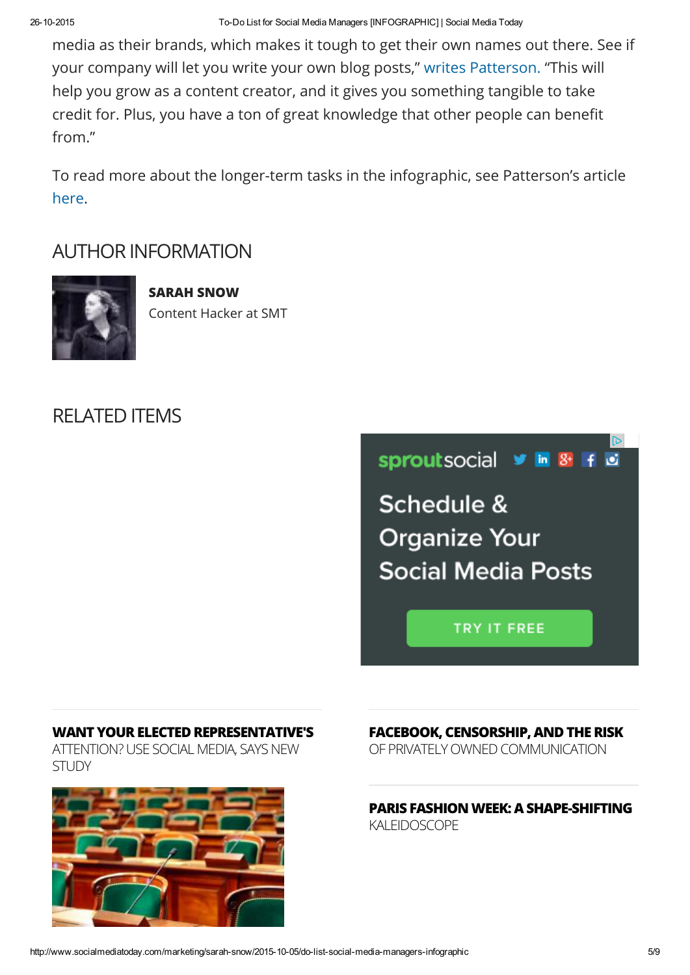media as their brands, which makes it tough to get their own names out there. See if your company will let you write your own blog posts," writes [Patterson.](http://www.adweek.com/socialtimes/a-complete-checklist-for-social-media-managers-infographic/622615) "This will help you grow as a content creator, and it gives you something tangible to take credit for. Plus, you have a ton of great knowledge that other people can benefit from."

To read more about the longer-term tasks in the infographic, see Patterson's article [here](http://www.adweek.com/socialtimes/a-complete-checklist-for-social-media-managers-infographic/622615).

## AUTHOR INFORMATION



SARAH SNOW Content Hacker at SMT

## RELATED ITEMS



**TRY IT FREE** 

#### WANT YOUR ELECTED REPRESENTATIVE'S

ATTENTION? USE SOCIAL MEDIA, SAYS NEW STUDY



FACEBOOK, CENSORSHIP, AND THE RISK

OF PRIVATELY OWNED COMMUNICATION

#### PARIS FASHION WEEK: A [SHAPE-SHIFTING](http://www.socialmediatoday.com/technology-data/localspeak/2015-10-09/paris-fashion-week-shape-shifting-kaleidoscope?utm_source=web&utm_medium=links&utm_content=Paris%20Fashion%20Week:%20A%20Shape-Shifting%20Kaleidoscope&utm_campaign=related-items) KALEIDOSCOPE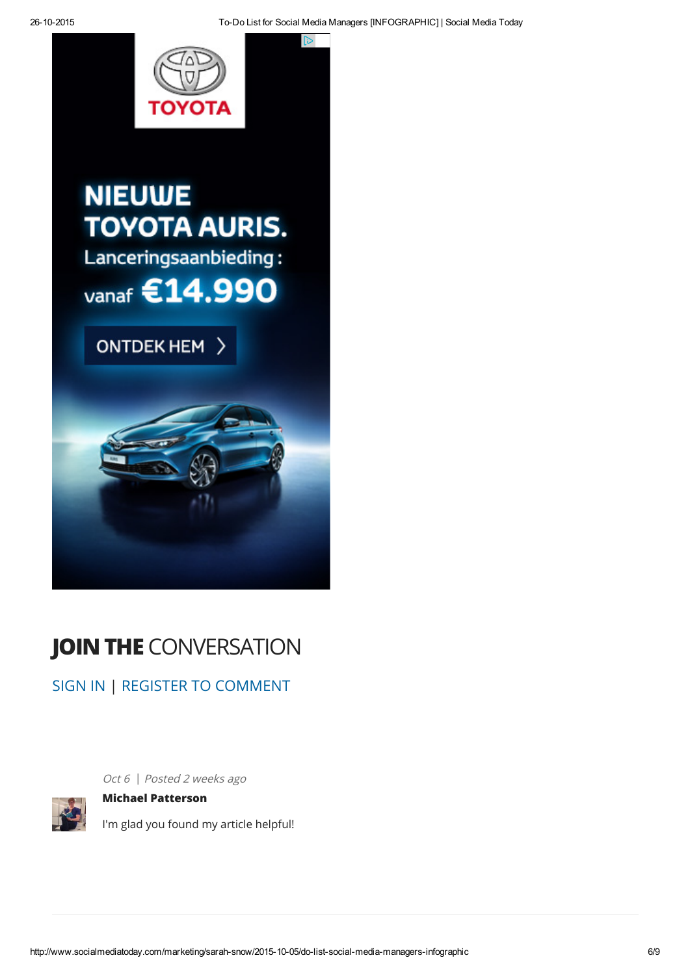চি



# **NIEUWE TOYOTA AURIS.** Lanceringsaanbieding:

vanaf €14.990





# JOIN THE CONVERSATION

[SIGN](http://www.socialmediatoday.com/user) IN | REGISTER TO [COMMENT](http://www.socialmediatoday.com/user/register)



Oct 6 | Posted 2 weeks ago

# Michael [Patterson](http://www.socialmediatoday.com/users/michael-patterson)

I'm glad you found my article helpful!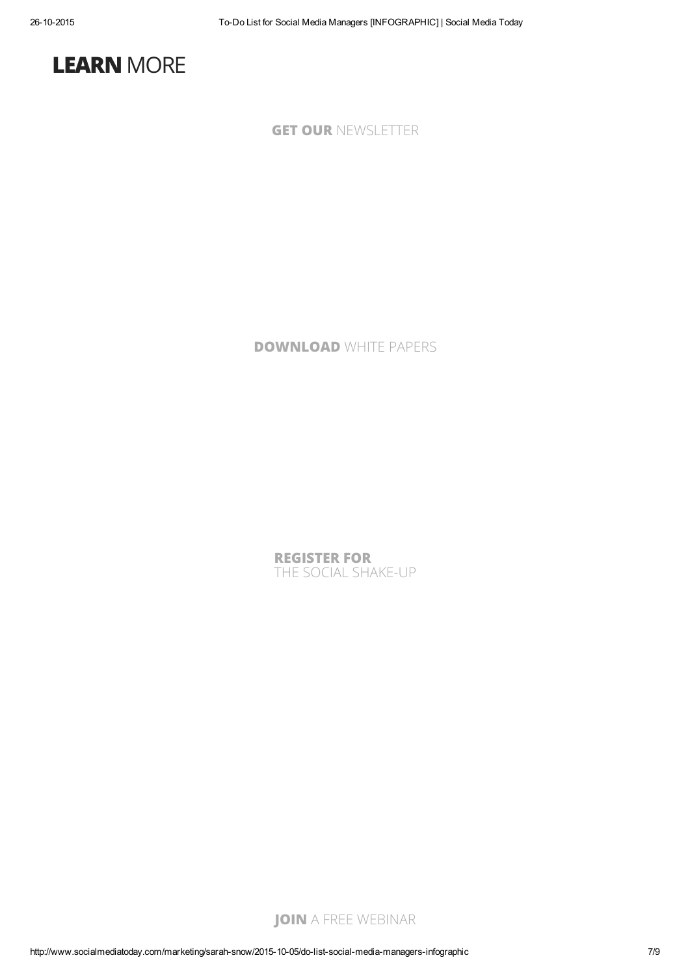

GET OUR [NEWSLETTER](http://smt.socialmediatoday.com/acton/form/10375/004b:d-0002/1/index.htm)

[DOWNLOAD](http://www.socialmediatoday.com/white-papers) WHITE PAPERS

[REGISTER](http://socialshakeup.socialmediatoday.com/) FOR THE SOCIAL SHAKE-UP

JOIN A FREE [WEBINAR](http://www.socialmediatoday.com/webinars)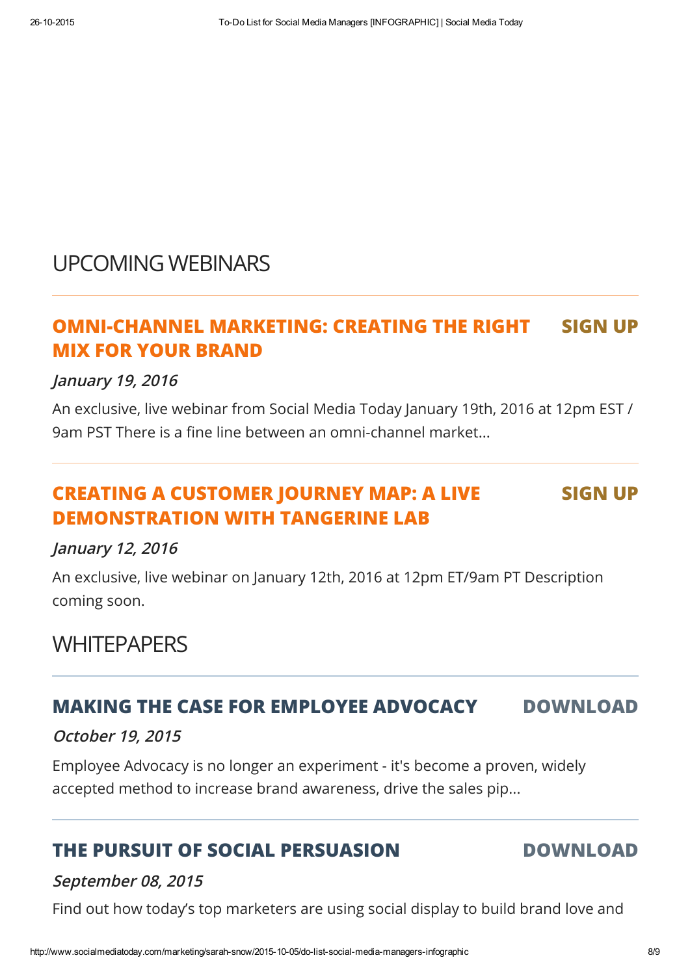## UPCOMING WEBINARS

#### [OMNI-CHANNEL](http://www.socialmediatoday.com/webinar/2015-08-27/omni-channel-marketing-creating-right-mix-your-brand) MARKETING: CREATING THE RIGHT MIX FOR YOUR BRAND SIGN UP

## January 19, 2016

An exclusive, live webinar from Social Media Today January 19th, 2016 at 12pm EST / 9am PST There is a fine line between an omni-channel market...

#### CREATING A CUSTOMER JOURNEY MAP: A LIVE [DEMONSTRATION](http://www.socialmediatoday.com/webinar/2015-08-27/creating-customer-journey-map-live-demonstration-tangerine-lab) WITH TANGERINE LAB SIGN UP

## January 12, 2016

An exclusive, live webinar on January 12th, 2016 at 12pm ET/9am PT Description coming soon.

## **WHITEPAPERS**

## MAKING THE CASE FOR EMPLOYEE ADVOCACY [DOWNLOAD](http://www.socialmediatoday.com/white-papers/making-case-employee-advocacy)

## October 19, 2015

Employee Advocacy is no longer an experiment - it's become a proven, widely accepted method to increase brand awareness, drive the sales pip...

## THE PURSUIT OF SOCIAL [PERSUASION](http://www.socialmediatoday.com/white-papers/pursuit-social-persuasion) DOWNLOAD

### September 08, 2015

Find out how today's top marketers are using social display to build brand love and